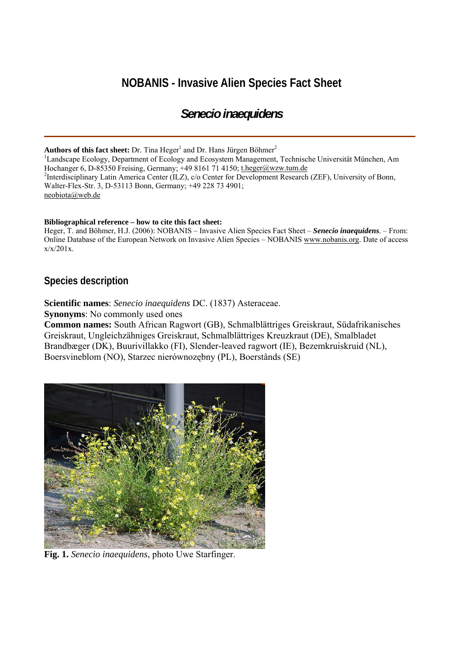# **NOBANIS - Invasive Alien Species Fact Sheet**

## *Senecio inaequidens*

**Authors of this fact sheet:** Dr. Tina Heger<sup>1</sup> and Dr. Hans Jürgen Böhmer<sup>2</sup>

<sup>1</sup>Landscape Ecology, Department of Ecology and Ecosystem Management, Technische Universität München, Am Hochanger 6, D-85350 Freising, Germany; +49 8161 71 4150; [t.heger@wzw.tum.de](mailto:t.heger@wzw.tum.de) <sup>2</sup>Interdisciplinary Latin America Center (ILZ), c/o Center for Development Research (ZEF), University of Bonn, Walter-Flex-Str. 3, D-53113 Bonn, Germany; +49 228 73 4901; [neobiota@web.de](mailto:neobiota@web.de) 

#### **Bibliographical reference – how to cite this fact sheet:**

Heger, T. and Böhmer, H.J. (2006): NOBANIS – Invasive Alien Species Fact Sheet – *Senecio inaequidens.* – From: Online Database of the European Network on Invasive Alien Species – NOBANIS [www.nobanis.org.](http://www.nobanis.org/) Date of access  $x/x/201x$ .

## **Species description**

**Scientific names**: *Senecio inaequidens* DC. (1837) Asteraceae.

**Synonyms**: No commonly used ones

**Common names:** South African Ragwort (GB), Schmalblättriges Greiskraut, Südafrikanisches Greiskraut, Ungleichzähniges Greiskraut, Schmalblättriges Kreuzkraut (DE), Smalbladet Brandbæger (DK), Buurivillakko (FI), Slender-leaved ragwort (IE), Bezemkruiskruid (NL), Boersvineblom (NO), Starzec nierównozębny (PL), Boerstånds (SE)



**Fig. 1.** *Senecio inaequidens*, photo Uwe Starfinger.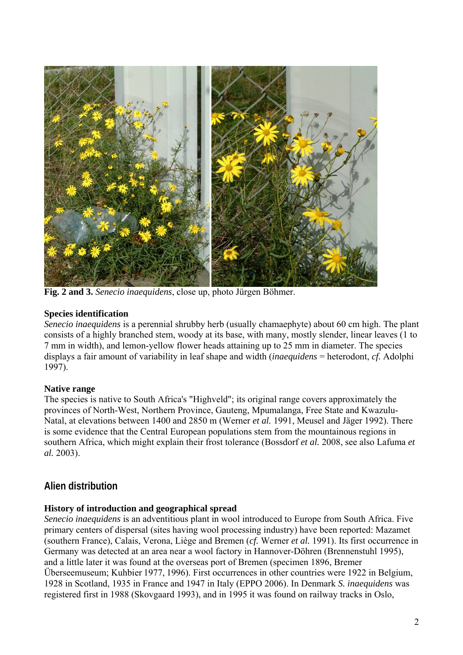

**Fig. 2 and 3.** *Senecio inaequidens*, close up, photo Jürgen Böhmer.

## **Species identification**

*Senecio inaequidens* is a perennial shrubby herb (usually chamaephyte) about 60 cm high. The plant consists of a highly branched stem, woody at its base, with many, mostly slender, linear leaves (1 to 7 mm in width), and lemon-yellow flower heads attaining up to 25 mm in diameter. The species displays a fair amount of variability in leaf shape and width (*inaequidens* = heterodont, *cf.* Adolphi 1997).

## **Native range**

The species is native to South Africa's "Highveld"; its original range covers approximately the provinces of North-West, Northern Province, Gauteng, Mpumalanga, Free State and Kwazulu-Natal, at elevations between 1400 and 2850 m (Werner *et al.* 1991, Meusel and Jäger 1992). There is some evidence that the Central European populations stem from the mountainous regions in southern Africa, which might explain their frost tolerance (Bossdorf *et al.* 2008, see also Lafuma *et al.* 2003).

## **Alien distribution**

## **History of introduction and geographical spread**

*Senecio inaequidens* is an adventitious plant in wool introduced to Europe from South Africa. Five primary centers of dispersal (sites having wool processing industry) have been reported: Mazamet (southern France), Calais, Verona, Liège and Bremen (*cf.* Werner *et al.* 1991). Its first occurrence in Germany was detected at an area near a wool factory in Hannover-Döhren (Brennenstuhl 1995), and a little later it was found at the overseas port of Bremen (specimen 1896, Bremer Überseemuseum; Kuhbier 1977, 1996). First occurrences in other countries were 1922 in Belgium, 1928 in Scotland, 1935 in France and 1947 in Italy (EPPO 2006). In Denmark *S. inaequidens* was registered first in 1988 (Skovgaard 1993), and in 1995 it was found on railway tracks in Oslo,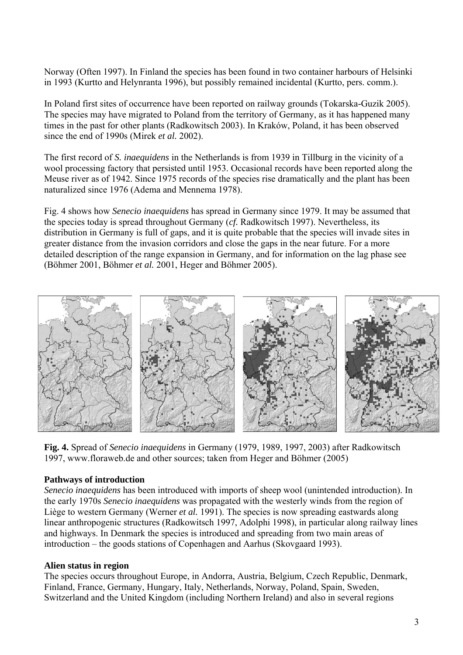Norway (Often 1997). In Finland the species has been found in two container harbours of Helsinki in 1993 (Kurtto and Helynranta 1996), but possibly remained incidental (Kurtto, pers. comm.).

In Poland first sites of occurrence have been reported on railway grounds (Tokarska-Guzik 2005). The species may have migrated to Poland from the territory of Germany, as it has happened many times in the past for other plants (Radkowitsch 2003). In Kraków, Poland, it has been observed since the end of 1990s (Mirek *et al.* 2002).

The first record of *S. inaequidens* in the Netherlands is from 1939 in Tillburg in the vicinity of a wool processing factory that persisted until 1953. Occasional records have been reported along the Meuse river as of 1942. Since 1975 records of the species rise dramatically and the plant has been naturalized since 1976 (Adema and Mennema 1978).

Fig. 4 shows how *Senecio inaequidens* has spread in Germany since 1979. It may be assumed that the species today is spread throughout Germany (*cf.* Radkowitsch 1997). Nevertheless, its distribution in Germany is full of gaps, and it is quite probable that the species will invade sites in greater distance from the invasion corridors and close the gaps in the near future. For a more detailed description of the range expansion in Germany, and for information on the lag phase see (Böhmer 2001, Böhmer *et al.* 2001, Heger and Böhmer 2005).



**Fig. 4.** Spread of *Senecio inaequidens* in Germany (1979, 1989, 1997, 2003) after Radkowitsch 1997, www.floraweb.de and other sources; taken from Heger and Böhmer (2005)

### **Pathways of introduction**

*Senecio inaequidens* has been introduced with imports of sheep wool (unintended introduction). In the early 1970s *Senecio inaequidens* was propagated with the westerly winds from the region of Liège to western Germany (Werner *et al.* 1991). The species is now spreading eastwards along linear anthropogenic structures (Radkowitsch 1997, Adolphi 1998), in particular along railway lines and highways. In Denmark the species is introduced and spreading from two main areas of introduction – the goods stations of Copenhagen and Aarhus (Skovgaard 1993).

### **Alien status in region**

The species occurs throughout Europe, in Andorra, Austria, Belgium, Czech Republic, Denmark, Finland, France, Germany, Hungary, Italy, Netherlands, Norway, Poland, Spain, Sweden, Switzerland and the United Kingdom (including Northern Ireland) and also in several regions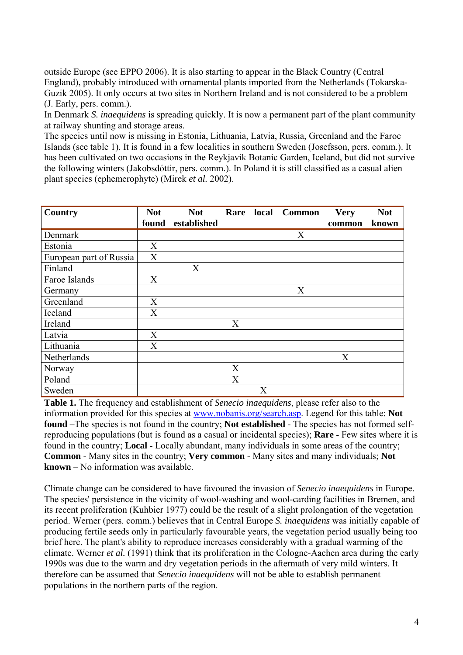outside Europe (see EPPO 2006). It is also starting to appear in the Black Country (Central England), probably introduced with ornamental plants imported from the Netherlands (Tokarska-Guzik 2005). It only occurs at two sites in Northern Ireland and is not considered to be a problem (J. Early, pers. comm.).

In Denmark *S. inaequidens* is spreading quickly. It is now a permanent part of the plant community at railway shunting and storage areas.

The species until now is missing in Estonia, Lithuania, Latvia, Russia, Greenland and the Faroe Islands (see table 1). It is found in a few localities in southern Sweden (Josefsson, pers. comm.). It has been cultivated on two occasions in the Reykjavik Botanic Garden, Iceland, but did not survive the following winters (Jakobsdóttir, pers. comm.). In Poland it is still classified as a casual alien plant species (ephemerophyte) (Mirek *et al.* 2002).

| <b>Country</b>          | <b>Not</b> | <b>Not</b>  | Rare local |   | <b>Common</b> | <b>Very</b> | <b>Not</b> |
|-------------------------|------------|-------------|------------|---|---------------|-------------|------------|
|                         | found      | established |            |   |               | common      | known      |
| Denmark                 |            |             |            |   | X             |             |            |
| Estonia                 | X          |             |            |   |               |             |            |
| European part of Russia | X          |             |            |   |               |             |            |
| Finland                 |            | X           |            |   |               |             |            |
| Faroe Islands           | X          |             |            |   |               |             |            |
| Germany                 |            |             |            |   | X             |             |            |
| Greenland               | X          |             |            |   |               |             |            |
| Iceland                 | X          |             |            |   |               |             |            |
| Ireland                 |            |             | X          |   |               |             |            |
| Latvia                  | X          |             |            |   |               |             |            |
| Lithuania               | X          |             |            |   |               |             |            |
| Netherlands             |            |             |            |   |               | X           |            |
| Norway                  |            |             | X          |   |               |             |            |
| Poland                  |            |             | X          |   |               |             |            |
| Sweden                  |            |             |            | X |               |             |            |

**Table 1.** The frequency and establishment of *Senecio inaequidens*, please refer also to the information provided for this species at [www.nobanis.org/search.asp.](http://www.nobanis.org/Search.asp) Legend for this table: **Not found** –The species is not found in the country; **Not established** - The species has not formed selfreproducing populations (but is found as a casual or incidental species); **Rare** - Few sites where it is found in the country; **Local** - Locally abundant, many individuals in some areas of the country; **Common** - Many sites in the country; **Very common** - Many sites and many individuals; **Not known** – No information was available.

Climate change can be considered to have favoured the invasion of *Senecio inaequidens* in Europe. The species' persistence in the vicinity of wool-washing and wool-carding facilities in Bremen, and its recent proliferation (Kuhbier 1977) could be the result of a slight prolongation of the vegetation period. Werner (pers. comm.) believes that in Central Europe *S. inaequidens* was initially capable of producing fertile seeds only in particularly favourable years, the vegetation period usually being too brief here. The plant's ability to reproduce increases considerably with a gradual warming of the climate. Werner *et al.* (1991) think that its proliferation in the Cologne-Aachen area during the early 1990s was due to the warm and dry vegetation periods in the aftermath of very mild winters. It therefore can be assumed that *Senecio inaequidens* will not be able to establish permanent populations in the northern parts of the region.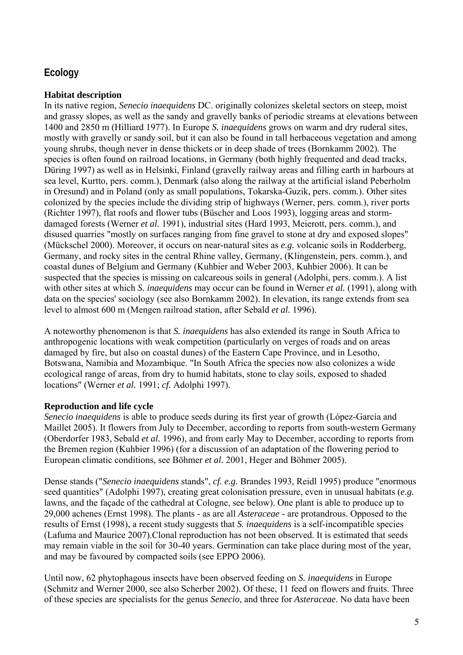## **Ecology**

#### **Habitat description**

In its native region, *Senecio inaequidens* DC. originally colonizes skeletal sectors on steep, moist and grassy slopes, as well as the sandy and gravelly banks of periodic streams at elevations between 1400 and 2850 m (Hilliard 1977). In Europe *S. inaequidens* grows on warm and dry ruderal sites, mostly with gravelly or sandy soil, but it can also be found in tall herbaceous vegetation and among young shrubs, though never in dense thickets or in deep shade of trees (Bornkamm 2002). The species is often found on railroad locations, in Germany (both highly frequented and dead tracks, Düring 1997) as well as in Helsinki, Finland (gravelly railway areas and filling earth in harbours at sea level, Kurtto, pers. comm.), Denmark (also along the railway at the artificial island Peberholm in Oresund) and in Poland (only as small populations, Tokarska-Guzik, pers. comm.). Other sites colonized by the species include the dividing strip of highways (Werner, pers. comm.), river ports (Richter 1997), flat roofs and flower tubs (Büscher and Loos 1993), logging areas and stormdamaged forests (Werner *et al.* 1991), industrial sites (Hard 1993, Meierott, pers. comm.), and disused quarries "mostly on surfaces ranging from fine gravel to stone at dry and exposed slopes" (Mückschel 2000). Moreover, it occurs on near-natural sites as *e.g.* volcanic soils in Rodderberg, Germany, and rocky sites in the central Rhine valley, Germany, (Klingenstein, pers. comm.), and coastal dunes of Belgium and Germany (Kuhbier and Weber 2003, Kuhbier 2006). It can be suspected that the species is missing on calcareous soils in general (Adolphi, pers. comm.). A list with other sites at which *S. inaequidens* may occur can be found in Werner *et al.* (1991), along with data on the species' sociology (see also Bornkamm 2002). In elevation, its range extends from sea level to almost 600 m (Mengen railroad station, after Sebald *et al.* 1996).

A noteworthy phenomenon is that *S. inaequidens* has also extended its range in South Africa to anthropogenic locations with weak competition (particularly on verges of roads and on areas damaged by fire, but also on coastal dunes) of the Eastern Cape Province, and in Lesotho, Botswana, Namibia and Mozambique. "In South Africa the species now also colonizes a wide ecological range of areas, from dry to humid habitats, stone to clay soils, exposed to shaded locations" (Werner *et al.* 1991; *cf.* Adolphi 1997).

### **Reproduction and life cycle**

*Senecio inaequidens* is able to produce seeds during its first year of growth (López-García and Maillet 2005). It flowers from July to December, according to reports from south-western Germany (Oberdorfer 1983, Sebald *et al.* 1996), and from early May to December, according to reports from the Bremen region (Kuhbier 1996) (for a discussion of an adaptation of the flowering period to European climatic conditions, see Böhmer *et al.* 2001, Heger and Böhmer 2005).

Dense stands ("*Senecio inaequidens* stands", *cf. e.g.* Brandes 1993, Reidl 1995) produce "enormous seed quantities" (Adolphi 1997), creating great colonisation pressure, even in unusual habitats (*e.g.* lawns, and the façade of the cathedral at Cologne, see below). One plant is able to produce up to 29,000 achenes (Ernst 1998). The plants - as are all *Asteraceae* - are protandrous. Opposed to the results of Ernst (1998), a recent study suggests that *S. inaequidens* is a self-incompatible species (Lafuma and Maurice 2007).Clonal reproduction has not been observed. It is estimated that seeds may remain viable in the soil for 30-40 years. Germination can take place during most of the year, and may be favoured by compacted soils (see EPPO 2006).

Until now, 62 phytophagous insects have been observed feeding on *S. inaequidens* in Europe (Schmitz and Werner 2000, see also Scherber 2002). Of these, 11 feed on flowers and fruits. Three of these species are specialists for the genus *Senecio*, and three for *Asteraceae*. No data have been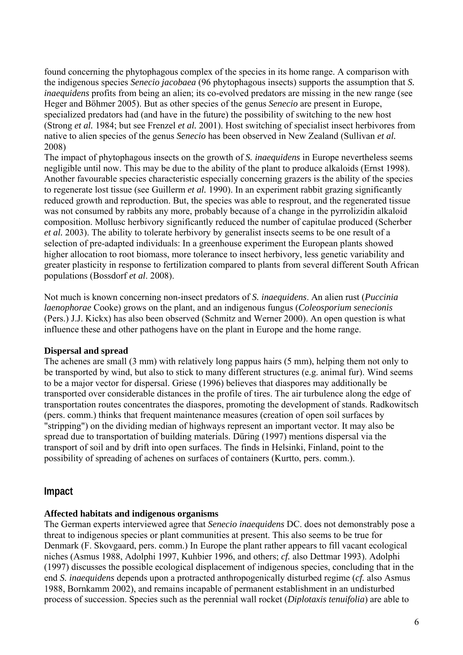found concerning the phytophagous complex of the species in its home range. A comparison with the indigenous species *Senecio jacobaea* (96 phytophagous insects) supports the assumption that *S. inaequidens* profits from being an alien; its co-evolved predators are missing in the new range (see Heger and Böhmer 2005). But as other species of the genus *Senecio* are present in Europe, specialized predators had (and have in the future) the possibility of switching to the new host (Strong *et al.* 1984; but see Frenzel *et al.* 2001). Host switching of specialist insect herbivores from native to alien species of the genus *Senecio* has been observed in New Zealand (Sullivan *et al.* 2008)

The impact of phytophagous insects on the growth of *S. inaequidens* in Europe nevertheless seems negligible until now. This may be due to the ability of the plant to produce alkaloids (Ernst 1998). Another favourable species characteristic especially concerning grazers is the ability of the species to regenerate lost tissue (see Guillerm *et al.* 1990). In an experiment rabbit grazing significantly reduced growth and reproduction. But, the species was able to resprout, and the regenerated tissue was not consumed by rabbits any more, probably because of a change in the pyrrolizidin alkaloid composition. Mollusc herbivory significantly reduced the number of capitulae produced (Scherber *et al.* 2003). The ability to tolerate herbivory by generalist insects seems to be one result of a selection of pre-adapted individuals: In a greenhouse experiment the European plants showed higher allocation to root biomass, more tolerance to insect herbivory, less genetic variability and greater plasticity in response to fertilization compared to plants from several different South African populations (Bossdorf *et al*. 2008).

Not much is known concerning non-insect predators of *S. inaequidens*. An alien rust (*Puccinia laenophorae* Cooke) grows on the plant, and an indigenous fungus (*Coleosporium senecionis* (Pers.) J.J. Kickx) has also been observed (Schmitz and Werner 2000). An open question is what influence these and other pathogens have on the plant in Europe and the home range.

#### **Dispersal and spread**

The achenes are small (3 mm) with relatively long pappus hairs (5 mm), helping them not only to be transported by wind, but also to stick to many different structures (e.g. animal fur). Wind seems to be a major vector for dispersal. Griese (1996) believes that diaspores may additionally be transported over considerable distances in the profile of tires. The air turbulence along the edge of transportation routes concentrates the diaspores, promoting the development of stands. Radkowitsch (pers. comm.) thinks that frequent maintenance measures (creation of open soil surfaces by "stripping") on the dividing median of highways represent an important vector. It may also be spread due to transportation of building materials. Düring (1997) mentions dispersal via the transport of soil and by drift into open surfaces. The finds in Helsinki, Finland, point to the possibility of spreading of achenes on surfaces of containers (Kurtto, pers. comm.).

### **Impact**

### **Affected habitats and indigenous organisms**

The German experts interviewed agree that *Senecio inaequidens* DC. does not demonstrably pose a threat to indigenous species or plant communities at present. This also seems to be true for Denmark (F. Skovgaard, pers. comm.) In Europe the plant rather appears to fill vacant ecological niches (Asmus 1988, Adolphi 1997, Kuhbier 1996, and others; *cf.* also Dettmar 1993). Adolphi (1997) discusses the possible ecological displacement of indigenous species, concluding that in the end *S. inaequidens* depends upon a protracted anthropogenically disturbed regime (*cf.* also Asmus 1988, Bornkamm 2002), and remains incapable of permanent establishment in an undisturbed process of succession. Species such as the perennial wall rocket (*Diplotaxis tenuifolia*) are able to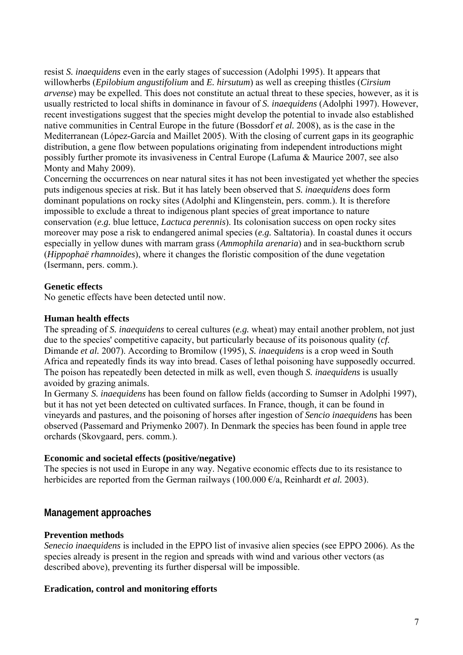resist *S. inaequidens* even in the early stages of succession (Adolphi 1995). It appears that willowherbs (*Epilobium angustifolium* and *E. hirsutum*) as well as creeping thistles (*Cirsium arvense*) may be expelled. This does not constitute an actual threat to these species, however, as it is usually restricted to local shifts in dominance in favour of *S. inaequidens* (Adolphi 1997). However, recent investigations suggest that the species might develop the potential to invade also established native communities in Central Europe in the future (Bossdorf *et al.* 2008), as is the case in the Mediterranean (López-García and Maillet 2005). With the closing of current gaps in its geographic distribution, a gene flow between populations originating from independent introductions might possibly further promote its invasiveness in Central Europe (Lafuma & Maurice 2007, see also Monty and Mahy 2009).

Concerning the occurrences on near natural sites it has not been investigated yet whether the species puts indigenous species at risk. But it has lately been observed that *S. inaequidens* does form dominant populations on rocky sites (Adolphi and Klingenstein, pers. comm.). It is therefore impossible to exclude a threat to indigenous plant species of great importance to nature conservation (*e.g.* blue lettuce, *Lactuca perennis*). Its colonisation success on open rocky sites moreover may pose a risk to endangered animal species (*e.g.* Saltatoria). In coastal dunes it occurs especially in yellow dunes with marram grass (*Ammophila arenaria*) and in sea-buckthorn scrub (*Hippophaë rhamnoides*), where it changes the floristic composition of the dune vegetation (Isermann, pers. comm.).

### **Genetic effects**

No genetic effects have been detected until now.

### **Human health effects**

The spreading of *S. inaequidens* to cereal cultures (*e.g.* wheat) may entail another problem, not just due to the species' competitive capacity, but particularly because of its poisonous quality (*cf.* Dimande *et al.* 2007). According to Bromilow (1995), *S. inaequidens* is a crop weed in South Africa and repeatedly finds its way into bread. Cases of lethal poisoning have supposedly occurred. The poison has repeatedly been detected in milk as well, even though *S. inaequidens* is usually avoided by grazing animals.

In Germany *S. inaequidens* has been found on fallow fields (according to Sumser in Adolphi 1997), but it has not yet been detected on cultivated surfaces. In France, though, it can be found in vineyards and pastures, and the poisoning of horses after ingestion of *Sencio inaequidens* has been observed (Passemard and Priymenko 2007). In Denmark the species has been found in apple tree orchards (Skovgaard, pers. comm.).

### **Economic and societal effects (positive/negative)**

The species is not used in Europe in any way. Negative economic effects due to its resistance to herbicides are reported from the German railways (100.000 €/a, Reinhardt *et al.* 2003).

## **Management approaches**

#### **Prevention methods**

*Senecio inaequidens* is included in the EPPO list of invasive alien species (see EPPO 2006). As the species already is present in the region and spreads with wind and various other vectors (as described above), preventing its further dispersal will be impossible.

#### **Eradication, control and monitoring efforts**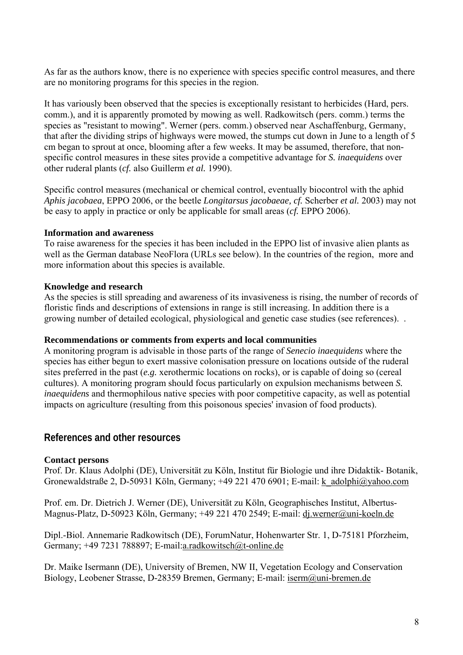As far as the authors know, there is no experience with species specific control measures, and there are no monitoring programs for this species in the region.

It has variously been observed that the species is exceptionally resistant to herbicides (Hard, pers. comm.), and it is apparently promoted by mowing as well. Radkowitsch (pers. comm.) terms the species as "resistant to mowing". Werner (pers. comm.) observed near Aschaffenburg, Germany, that after the dividing strips of highways were mowed, the stumps cut down in June to a length of 5 cm began to sprout at once, blooming after a few weeks. It may be assumed, therefore, that nonspecific control measures in these sites provide a competitive advantage for *S. inaequidens* over other ruderal plants (*cf.* also Guillerm *et al.* 1990).

Specific control measures (mechanical or chemical control, eventually biocontrol with the aphid *Aphis jacobaea*, EPPO 2006, or the beetle *Longitarsus jacobaeae, cf.* Scherber *et al.* 2003) may not be easy to apply in practice or only be applicable for small areas (*cf.* EPPO 2006).

#### **Information and awareness**

To raise awareness for the species it has been included in the EPPO list of invasive alien plants as well as the German database NeoFlora (URLs see below). In the countries of the region, more and more information about this species is available.

### **Knowledge and research**

As the species is still spreading and awareness of its invasiveness is rising, the number of records of floristic finds and descriptions of extensions in range is still increasing. In addition there is a growing number of detailed ecological, physiological and genetic case studies (see references). .

#### **Recommendations or comments from experts and local communities**

A monitoring program is advisable in those parts of the range of *Senecio inaequidens* where the species has either begun to exert massive colonisation pressure on locations outside of the ruderal sites preferred in the past (*e.g.* xerothermic locations on rocks), or is capable of doing so (cereal cultures). A monitoring program should focus particularly on expulsion mechanisms between *S. inaequidens* and thermophilous native species with poor competitive capacity, as well as potential impacts on agriculture (resulting from this poisonous species' invasion of food products).

### **References and other resources**

### **Contact persons**

Prof. Dr. Klaus Adolphi (DE), Universität zu Köln, Institut für Biologie und ihre Didaktik- Botanik, Gronewaldstraße 2, D-50931 Köln, Germany; +49 221 470 6901; E-mail: [k\\_adolphi@yahoo.com](mailto:k_adolphi@yahoo.com)

Prof. em. Dr. Dietrich J. Werner (DE), Universität zu Köln, Geographisches Institut, Albertus-Magnus-Platz, D-50923 Köln, Germany; +49 221 470 2549; E-mail: [dj.werner@uni-koeln.de](mailto:dj.werner@uni-koeln.de)

Dipl.-Biol. Annemarie Radkowitsch (DE), ForumNatur, Hohenwarter Str. 1, D-75181 Pforzheim, Germany; +49 7231 788897; E-mail:[a.radkowitsch@t-online.de](mailto:a.radkowitsch@t-online.de)

Dr. Maike Isermann (DE), University of Bremen, NW II, Vegetation Ecology and Conservation Biology, Leobener Strasse, D-28359 Bremen, Germany; E-mail: [iserm@uni-bremen.de](mailto:iserm@uni-bremen.de)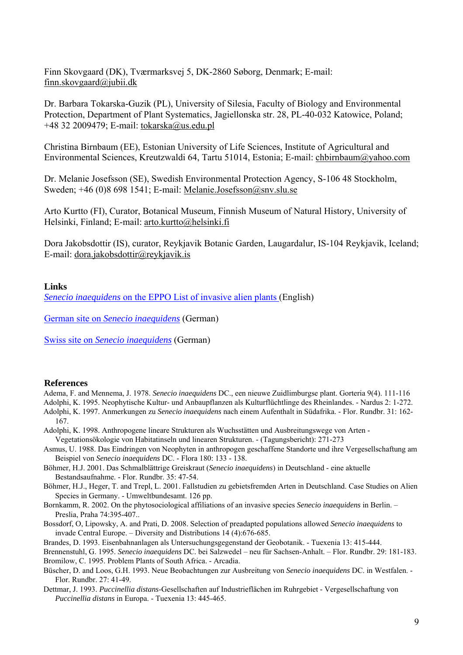Finn Skovgaard (DK), Tværmarksvej 5, DK-2860 Søborg, Denmark; E-mail: [finn.skovgaard@jubii.dk](mailto:finn.skovgaard@jubii.dk)

Dr. Barbara Tokarska-Guzik (PL), University of Silesia, Faculty of Biology and Environmental Protection, Department of Plant Systematics, Jagiellonska str. 28, PL-40-032 Katowice, Poland; +48 32 2009479; E-mail: [tokarska@us.edu.pl](mailto:tokarska@us.edu.pl) 

Christina Birnbaum (EE), Estonian University of Life Sciences, Institute of Agricultural and Environmental Sciences, Kreutzwaldi 64, Tartu 51014, Estonia; E-mail: [chbirnbaum@yahoo.com](mailto:chbirnbaum@yahoo.com) 

Dr. Melanie Josefsson (SE), Swedish Environmental Protection Agency, S-106 48 Stockholm, Sweden; +46 (0)8 698 1541; E-mail: [Melanie.Josefsson@snv.slu.se](mailto:Melanie.Josefsson@snv.slu.se)

Arto Kurtto (FI), Curator, Botanical Museum, Finnish Museum of Natural History, University of Helsinki, Finland; E-mail: [arto.kurtto@helsinki.fi](mailto:arto.kurtto@helsinki.fi) 

Dora Jakobsdottir (IS), curator, Reykjavik Botanic Garden, Laugardalur, IS-104 Reykjavik, Iceland; E-mail: [dora.jakobsdottir@reykjavik.is](mailto:dora.jakobsdottir@reykjavik.is) 

#### **Links**

*Senecio inaequidens* [on the EPPO List of invasive alien plants \(](http://www.eppo.org/QUARANTINE/ias_plants.htm)English)

German site on *[Senecio inaequidens](http://www.floraweb.de/neoflora/handbuch/senecioinaequidens.html)* (German)

Swiss site on *[Senecio inaequidens](http://www.cps-skew.ch/deutsch/inva_sene_ina_d.pdf)* (German)

#### **References**

Adema, F. and Mennema, J. 1978. *Senecio inaequidens* DC., een nieuwe Zuidlimburgse plant. Gorteria 9(4). 111-116

Adolphi, K. 1995. Neophytische Kultur- und Anbaupflanzen als Kulturflüchtlinge des Rheinlandes. - Nardus 2: 1-272. Adolphi, K. 1997. Anmerkungen zu *Senecio inaequidens* nach einem Aufenthalt in Südafrika. - Flor. Rundbr. 31: 162- 167.

- Adolphi, K. 1998. Anthropogene lineare Strukturen als Wuchsstätten und Ausbreitungswege von Arten -
- Vegetationsökologie von Habitatinseln und linearen Strukturen. (Tagungsbericht): 271-273
- Asmus, U. 1988. Das Eindringen von Neophyten in anthropogen geschaffene Standorte und ihre Vergesellschaftung am Beispiel von *Senecio inaequidens* DC. - Flora 180: 133 - 138.
- Böhmer, H.J. 2001. Das Schmalblättrige Greiskraut (*Senecio inaequidens*) in Deutschland eine aktuelle Bestandsaufnahme. - Flor. Rundbr. 35: 47-54.
- Böhmer, H.J., Heger, T. and Trepl, L. 2001. Fallstudien zu gebietsfremden Arten in Deutschland. Case Studies on Alien Species in Germany. - Umweltbundesamt. 126 pp.
- Bornkamm, R. 2002. On the phytosociological affiliations of an invasive species *Senecio inaequidens* in Berlin. Preslia, Praha 74:395-407..
- Bossdorf, O, Lipowsky, A. and Prati, D. 2008. Selection of preadapted populations allowed *Senecio inaequidens* to invade Central Europe. – Diversity and Distributions 14 (4):676-685.

Brandes, D. 1993. Eisenbahnanlagen als Untersuchungsgegenstand der Geobotanik. - Tuexenia 13: 415-444.

Brennenstuhl, G. 1995. *Senecio inaequidens* DC. bei Salzwedel – neu für Sachsen-Anhalt. – Flor. Rundbr. 29: 181-183. Bromilow, C. 1995. Problem Plants of South Africa. - Arcadia.

- Büscher, D. and Loos, G.H. 1993. Neue Beobachtungen zur Ausbreitung von *Senecio inaequidens* DC. in Westfalen. Flor. Rundbr. 27: 41-49.
- Dettmar, J. 1993. *Puccinellia distans*-Gesellschaften auf Industrieflächen im Ruhrgebiet Vergesellschaftung von *Puccinellia distans* in Europa. - Tuexenia 13: 445-465.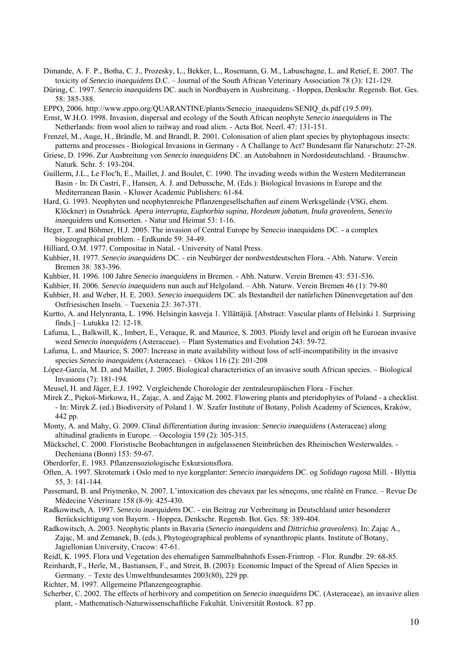- Dimande, A. F. P., Botha, C. J., Prozesky, L., Bekker, L., Rosemann, G. M., Labuschagne, L. and Retief, E. 2007. The toxicity of *Senecio inaequidens* D.C. – Journal of the South African Veterinary Association 78 (3): 121-129.
- Düring, C. 1997. *Senecio inaequidens* DC. auch in Nordbayern in Ausbreitung. Hoppea, Denkschr. Regensb. Bot. Ges. 58: 385-388.
- EPPO, 2006. http://www.eppo.org/OUARANTINE/plants/Senecio\_inaequidens/SENIO\_ds.pdf (19.5.09).
- Ernst, W.H.O. 1998. Invasion, dispersal and ecology of the South African neophyte *Senecio inaequidens* in The Netherlands: from wool alien to railway and road alien. - Acta Bot. Neerl. 47: 131-151.
- Frenzel, M., Auge, H., Brändle, M. and Brandl, R. 2001. Colonisation of alien plant species by phytophagous insects: patterns and processes - Biological Invasions in Germany - A Challange to Act? Bundesamt für Naturschutz: 27-28.
- Griese, D. 1996. Zur Ausbreitung von *Senecio inaequidens* DC. an Autobahnen in Nordostdeutschland. Braunschw. Naturk. Schr. 5: 193-204.
- Guillerm, J.L., Le Floc'h, E., Maillet, J. and Boulet, C. 1990. The invading weeds within the Western Mediterranean Basin - In: Di Castri, F., Hansen, A. J. and Debussche, M. (Eds.): Biological Invasions in Europe and the Mediterranean Basin. - Kluwer Academic Publishers: 61-84.
- Hard, G. 1993. Neophyten und neophytenreiche Pflanzengesellschaften auf einem Werksgelände (VSG, ehem. Klöckner) in Osnabrück. *Apera interrupta*, *Euphorbia supina*, *Hordeum jubatum*, *Inula graveolens*, *Senecio inaequidens* und Konsorten. - Natur und Heimat 53: 1-16.
- Heger, T. and Böhmer, H.J. 2005. The invasion of Central Europe by Senecio inaequidens DC. a complex biogeographical problem. - Erdkunde 59: 34-49.
- Hilliard, O.M. 1977. Compositae in Natal. University of Natal Press.
- Kuhbier, H. 1977. *Senecio inaequidens* DC. ein Neubürger der nordwestdeutschen Flora. Abh. Naturw. Verein Bremen 38: 383-396.
- Kuhbier, H. 1996. 100 Jahre *Senecio inaequidens* in Bremen. Abh. Naturw. Verein Bremen 43: 531-536.
- Kuhbier, H. 2006. *Senecio inaequidens* nun auch auf Helgoland. Abh. Naturw. Verein Bremen 46 (1): 79-80
- Kuhbier, H. and Weber, H. E. 2003. *Senecio inaequidens* DC. als Bestandteil der natürlichen Dünenvegetation auf den Ostfriesischen Inseln. – Tuexenia 23: 367-371.
- Kurtto, A. and Helynranta, L. 1996. Helsingin kasveja 1. Yllättäjiä. [Abstract: Vascular plants of Helsinki 1. Surprising finds.] – Lutukka 12: 12-18.
- Lafuma, L., Balkwill, K., Imbert, E., Veraque, R. and Maurice, S. 2003. Ploidy level and origin oft he Euroean invasive weed *Senecio inaequidens* (Asteraceae). – Plant Systematics and Evolution 243: 59-72.
- Lafuma, L. and Maurice, S. 2007: Increase in mate availability without loss of self-incompatibility in the invasive species *Senecio inaequidens* (Asteraceae). – Oikos 116 (2): 201-208
- López-García, M. D. and Maillet, J. 2005. Biological characteristics of an invasive south African species. Biological Invasions (7): 181-194.
- Meusel, H. and Jäger, E.J. 1992. Vergleichende Chorologie der zentraleuropäischen Flora Fischer.
- Mirek Z., Piękoś-Mirkowa, H., Zając, A. and Zając M. 2002. Flowering plants and pteridophytes of Poland a checklist. - In: Mirek Z. (ed.) Biodiversity of Poland 1. W. Szafer Institute of Botany, Polish Academy of Sciences, Kraków, 442 pp.
- Monty, A. and Mahy, G. 2009. Clinal differentiation during invasion: *Senecio inaequidens* (Asteraceae) along altitudinal gradients in Europe. – Oecologia 159 (2): 305-315.
- Mückschel, C. 2000. Floristische Beobachtungen in aufgelassenen Steinbrüchen des Rheinischen Westerwaldes. Decheniana (Bonn) 153: 59-67.
- Oberdorfer, E. 1983. Pflanzensoziologische Exkursionsflora.
- Often, A. 1997. Skrotemark i Oslo med to nye korgplanter: *Senecio inaequidens* DC. og *Solidago rugosa* Mill. Blyttia 55, 3: 141-144.
- Passemard, B. and Priymenko, N. 2007. L'intoxication des chevaux par les séneçons, une réalité en France. Revue De Médecine Véterinare 158 (8-9): 425-430.
- Radkowitsch, A. 1997. *Senecio inaequidens* DC. ein Beitrag zur Verbreitung in Deutschland unter besonderer Berücksichtigung von Bayern. - Hoppea, Denkschr. Regensb. Bot. Ges. 58: 389-404.
- Radkowitsch, A. 2003. Neophytic plants in Bavaria (*Senecio inaequidens* and *Dittrichia graveolens*). In: Zając A., Zając, M. and Zemanek, B. (eds.), Phytogeographical problems of synanthropic plants. Institute of Botany, Jagiellonian University, Cracow: 47-61.
- Reidl, K. 1995. Flora und Vegetation des ehemaligen Sammelbahnhofs Essen-Frintrop. Flor. Rundbr. 29: 68-85.
- Reinhardt, F., Herle, M., Bastiansen, F., and Streit, B. (2003): Economic Impact of the Spread of Alien Species in Germany. – Texte des Umweltbundesamtes 2003(80), 229 pp.
- Richter, M. 1997. Allgemeine Pflanzengeographie.
- Scherber, C. 2002. The effects of herbivory and competition on *Senecio inaequidens* DC. (Asteraceae), an invasive alien plant, - Mathematisch-Naturwissenschaftliche Fakultät. Universität Rostock. 87 pp.